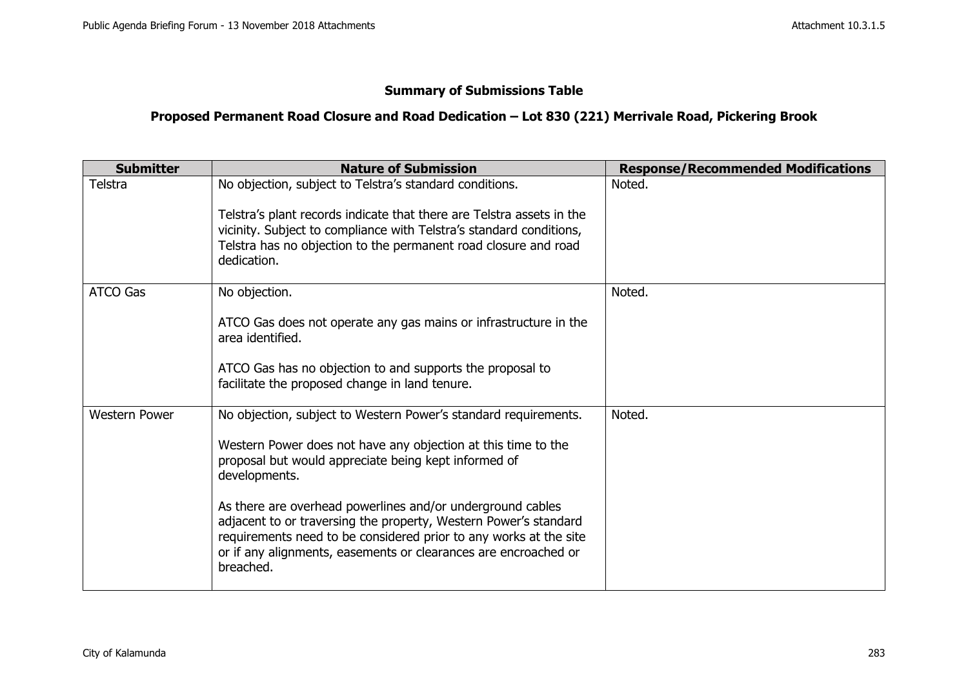## **Summary of Submissions Table**

## **Proposed Permanent Road Closure and Road Dedication – Lot 830 (221) Merrivale Road, Pickering Brook**

| <b>Submitter</b>     | <b>Nature of Submission</b>                                                                                                                                                                                                                                                                                                                                                                                                                                                                      | <b>Response/Recommended Modifications</b> |
|----------------------|--------------------------------------------------------------------------------------------------------------------------------------------------------------------------------------------------------------------------------------------------------------------------------------------------------------------------------------------------------------------------------------------------------------------------------------------------------------------------------------------------|-------------------------------------------|
| Telstra              | No objection, subject to Telstra's standard conditions.<br>Telstra's plant records indicate that there are Telstra assets in the<br>vicinity. Subject to compliance with Telstra's standard conditions,<br>Telstra has no objection to the permanent road closure and road<br>dedication.                                                                                                                                                                                                        | Noted.                                    |
| <b>ATCO Gas</b>      | No objection.<br>ATCO Gas does not operate any gas mains or infrastructure in the<br>area identified.<br>ATCO Gas has no objection to and supports the proposal to<br>facilitate the proposed change in land tenure.                                                                                                                                                                                                                                                                             | Noted.                                    |
| <b>Western Power</b> | No objection, subject to Western Power's standard requirements.<br>Western Power does not have any objection at this time to the<br>proposal but would appreciate being kept informed of<br>developments.<br>As there are overhead powerlines and/or underground cables<br>adjacent to or traversing the property, Western Power's standard<br>requirements need to be considered prior to any works at the site<br>or if any alignments, easements or clearances are encroached or<br>breached. | Noted.                                    |